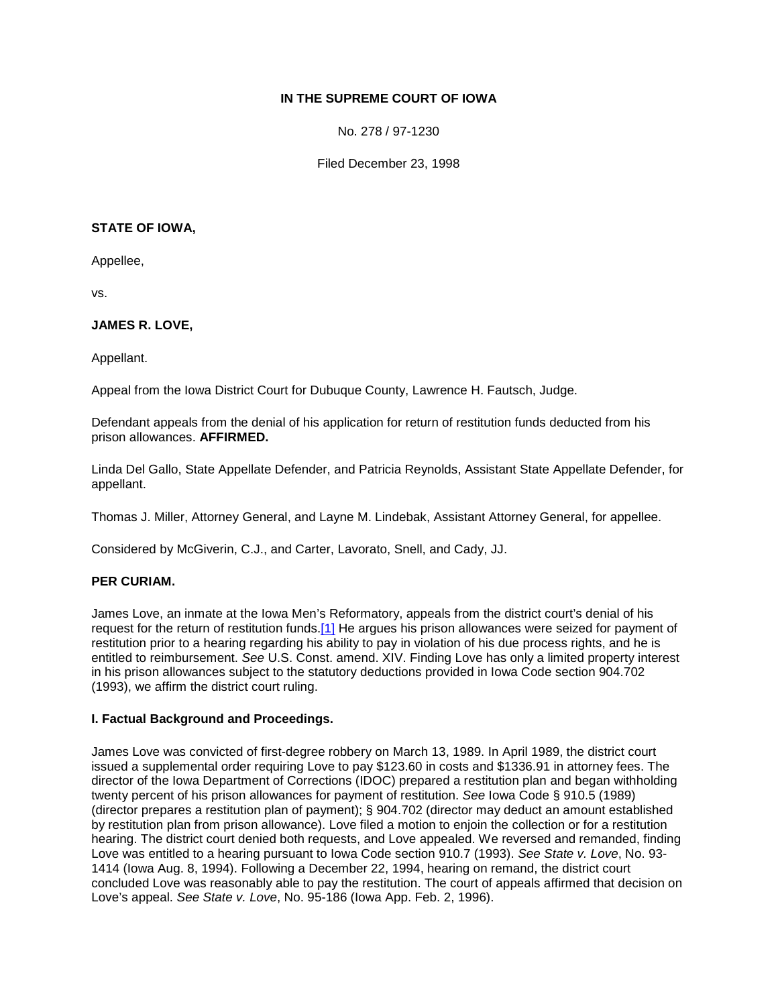# **IN THE SUPREME COURT OF IOWA**

No. 278 / 97-1230

Filed December 23, 1998

#### **STATE OF IOWA,**

Appellee,

vs.

# **JAMES R. LOVE,**

Appellant.

Appeal from the Iowa District Court for Dubuque County, Lawrence H. Fautsch, Judge.

Defendant appeals from the denial of his application for return of restitution funds deducted from his prison allowances. **AFFIRMED.**

Linda Del Gallo, State Appellate Defender, and Patricia Reynolds, Assistant State Appellate Defender, for appellant.

Thomas J. Miller, Attorney General, and Layne M. Lindebak, Assistant Attorney General, for appellee.

Considered by McGiverin, C.J., and Carter, Lavorato, Snell, and Cady, JJ.

# **PER CURIAM.**

James Love, an inmate at the Iowa Men's Reformatory, appeals from the district court's denial of his request for the return of restitution funds[.\[1\]](http://www.iowacourts.gov/About_the_Courts/Supreme_Court/Supreme_Court_Opinions/Recent_Opinions/19981223/97-1230.asp?Printable=true#fn1) He argues his prison allowances were seized for payment of restitution prior to a hearing regarding his ability to pay in violation of his due process rights, and he is entitled to reimbursement. *See* U.S. Const. amend. XIV. Finding Love has only a limited property interest in his prison allowances subject to the statutory deductions provided in Iowa Code section 904.702 (1993), we affirm the district court ruling.

## **I. Factual Background and Proceedings.**

James Love was convicted of first-degree robbery on March 13, 1989. In April 1989, the district court issued a supplemental order requiring Love to pay \$123.60 in costs and \$1336.91 in attorney fees. The director of the Iowa Department of Corrections (IDOC) prepared a restitution plan and began withholding twenty percent of his prison allowances for payment of restitution. *See* Iowa Code § 910.5 (1989) (director prepares a restitution plan of payment); § 904.702 (director may deduct an amount established by restitution plan from prison allowance). Love filed a motion to enjoin the collection or for a restitution hearing. The district court denied both requests, and Love appealed. We reversed and remanded, finding Love was entitled to a hearing pursuant to Iowa Code section 910.7 (1993). *See State v. Love*, No. 93- 1414 (Iowa Aug. 8, 1994). Following a December 22, 1994, hearing on remand, the district court concluded Love was reasonably able to pay the restitution. The court of appeals affirmed that decision on Love's appeal. *See State v. Love*, No. 95-186 (Iowa App. Feb. 2, 1996).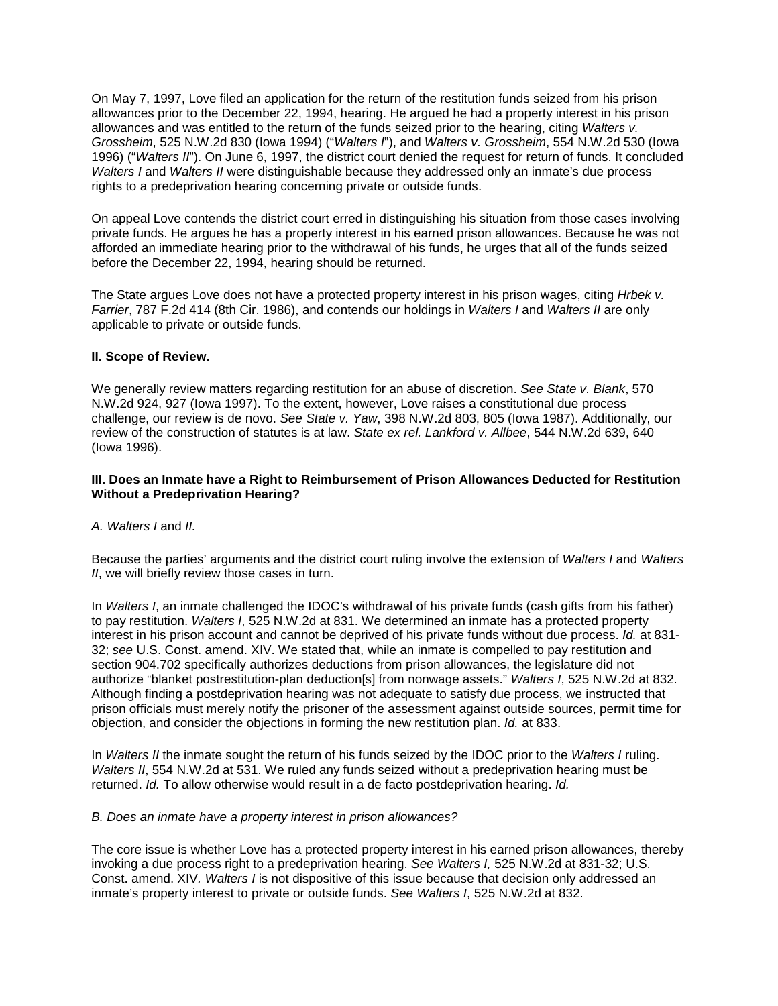On May 7, 1997, Love filed an application for the return of the restitution funds seized from his prison allowances prior to the December 22, 1994, hearing. He argued he had a property interest in his prison allowances and was entitled to the return of the funds seized prior to the hearing, citing *Walters v. Grossheim*, 525 N.W.2d 830 (Iowa 1994) ("*Walters I*"), and *Walters v. Grossheim*, 554 N.W.2d 530 (Iowa 1996) ("*Walters II*"). On June 6, 1997, the district court denied the request for return of funds. It concluded *Walters I* and *Walters II* were distinguishable because they addressed only an inmate's due process rights to a predeprivation hearing concerning private or outside funds.

On appeal Love contends the district court erred in distinguishing his situation from those cases involving private funds. He argues he has a property interest in his earned prison allowances. Because he was not afforded an immediate hearing prior to the withdrawal of his funds, he urges that all of the funds seized before the December 22, 1994, hearing should be returned.

The State argues Love does not have a protected property interest in his prison wages, citing *Hrbek v. Farrier*, 787 F.2d 414 (8th Cir. 1986), and contends our holdings in *Walters I* and *Walters II* are only applicable to private or outside funds.

## **II. Scope of Review.**

We generally review matters regarding restitution for an abuse of discretion. *See State v. Blank*, 570 N.W.2d 924, 927 (Iowa 1997). To the extent, however, Love raises a constitutional due process challenge, our review is de novo. *See State v. Yaw*, 398 N.W.2d 803, 805 (Iowa 1987). Additionally, our review of the construction of statutes is at law. *State ex rel. Lankford v. Allbee*, 544 N.W.2d 639, 640 (Iowa 1996).

## **III. Does an Inmate have a Right to Reimbursement of Prison Allowances Deducted for Restitution Without a Predeprivation Hearing?**

*A. Walters I* and *II.*

Because the parties' arguments and the district court ruling involve the extension of *Walters I* and *Walters II*, we will briefly review those cases in turn.

In *Walters I*, an inmate challenged the IDOC's withdrawal of his private funds (cash gifts from his father) to pay restitution. *Walters I*, 525 N.W.2d at 831. We determined an inmate has a protected property interest in his prison account and cannot be deprived of his private funds without due process. *Id.* at 831- 32; *see* U.S. Const. amend. XIV. We stated that, while an inmate is compelled to pay restitution and section 904.702 specifically authorizes deductions from prison allowances, the legislature did not authorize "blanket postrestitution-plan deduction[s] from nonwage assets." *Walters I*, 525 N.W.2d at 832. Although finding a postdeprivation hearing was not adequate to satisfy due process, we instructed that prison officials must merely notify the prisoner of the assessment against outside sources, permit time for objection, and consider the objections in forming the new restitution plan. *Id.* at 833.

In *Walters II* the inmate sought the return of his funds seized by the IDOC prior to the *Walters I* ruling. *Walters II*, 554 N.W.2d at 531. We ruled any funds seized without a predeprivation hearing must be returned. *Id.* To allow otherwise would result in a de facto postdeprivation hearing. *Id.*

#### *B. Does an inmate have a property interest in prison allowances?*

The core issue is whether Love has a protected property interest in his earned prison allowances, thereby invoking a due process right to a predeprivation hearing. *See Walters I,* 525 N.W.2d at 831-32; U.S. Const. amend. XIV*. Walters I* is not dispositive of this issue because that decision only addressed an inmate's property interest to private or outside funds. *See Walters I*, 525 N.W.2d at 832.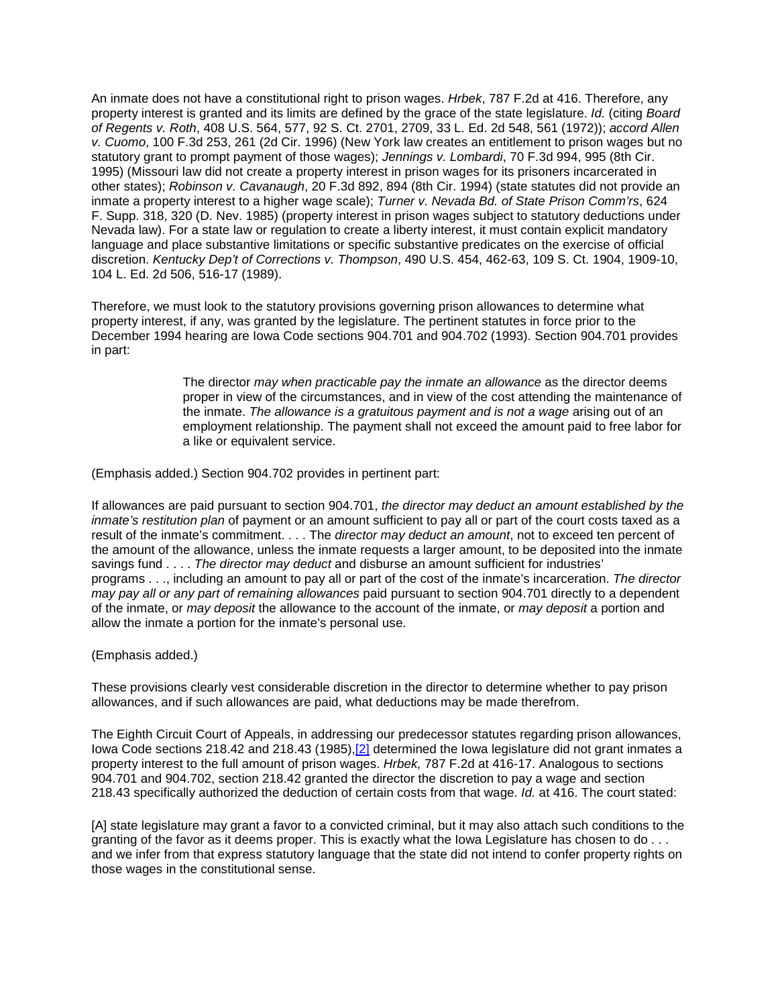An inmate does not have a constitutional right to prison wages. *Hrbek*, 787 F.2d at 416. Therefore, any property interest is granted and its limits are defined by the grace of the state legislature. *Id.* (citing *Board of Regents v. Roth*, 408 U.S. 564, 577, 92 S. Ct. 2701, 2709, 33 L. Ed. 2d 548, 561 (1972)); *accord Allen v. Cuomo*, 100 F.3d 253, 261 (2d Cir. 1996) (New York law creates an entitlement to prison wages but no statutory grant to prompt payment of those wages); *Jennings v. Lombardi*, 70 F.3d 994, 995 (8th Cir. 1995) (Missouri law did not create a property interest in prison wages for its prisoners incarcerated in other states); *Robinson v. Cavanaugh*, 20 F.3d 892, 894 (8th Cir. 1994) (state statutes did not provide an inmate a property interest to a higher wage scale); *Turner v. Nevada Bd. of State Prison Comm'rs*, 624 F. Supp. 318, 320 (D. Nev. 1985) (property interest in prison wages subject to statutory deductions under Nevada law). For a state law or regulation to create a liberty interest, it must contain explicit mandatory language and place substantive limitations or specific substantive predicates on the exercise of official discretion. *Kentucky Dep't of Corrections v. Thompson*, 490 U.S. 454, 462-63, 109 S. Ct. 1904, 1909-10, 104 L. Ed. 2d 506, 516-17 (1989).

Therefore, we must look to the statutory provisions governing prison allowances to determine what property interest, if any, was granted by the legislature. The pertinent statutes in force prior to the December 1994 hearing are Iowa Code sections 904.701 and 904.702 (1993). Section 904.701 provides in part:

> The director *may when practicable pay the inmate an allowance* as the director deems proper in view of the circumstances, and in view of the cost attending the maintenance of the inmate. *The allowance is a gratuitous payment and is not a wage* arising out of an employment relationship. The payment shall not exceed the amount paid to free labor for a like or equivalent service.

(Emphasis added.) Section 904.702 provides in pertinent part:

If allowances are paid pursuant to section 904.701, *the director may deduct an amount established by the inmate's restitution plan* of payment or an amount sufficient to pay all or part of the court costs taxed as a result of the inmate's commitment. . . . The *director may deduct an amount*, not to exceed ten percent of the amount of the allowance, unless the inmate requests a larger amount, to be deposited into the inmate savings fund . . . . *The director may deduct* and disburse an amount sufficient for industries' programs . . ., including an amount to pay all or part of the cost of the inmate's incarceration. *The director may pay all or any part of remaining allowances* paid pursuant to section 904.701 directly to a dependent of the inmate, or *may deposit* the allowance to the account of the inmate, or *may deposit* a portion and allow the inmate a portion for the inmate's personal use.

(Emphasis added.)

These provisions clearly vest considerable discretion in the director to determine whether to pay prison allowances, and if such allowances are paid, what deductions may be made therefrom.

The Eighth Circuit Court of Appeals, in addressing our predecessor statutes regarding prison allowances, Iowa Code sections 218.42 and 218.43 (1985)[,\[2\]](http://www.iowacourts.gov/About_the_Courts/Supreme_Court/Supreme_Court_Opinions/Recent_Opinions/19981223/97-1230.asp?Printable=true#fn2) determined the Iowa legislature did not grant inmates a property interest to the full amount of prison wages. *Hrbek,* 787 F.2d at 416-17. Analogous to sections 904.701 and 904.702, section 218.42 granted the director the discretion to pay a wage and section 218.43 specifically authorized the deduction of certain costs from that wage. *Id.* at 416. The court stated:

[A] state legislature may grant a favor to a convicted criminal, but it may also attach such conditions to the granting of the favor as it deems proper. This is exactly what the Iowa Legislature has chosen to do . . . and we infer from that express statutory language that the state did not intend to confer property rights on those wages in the constitutional sense.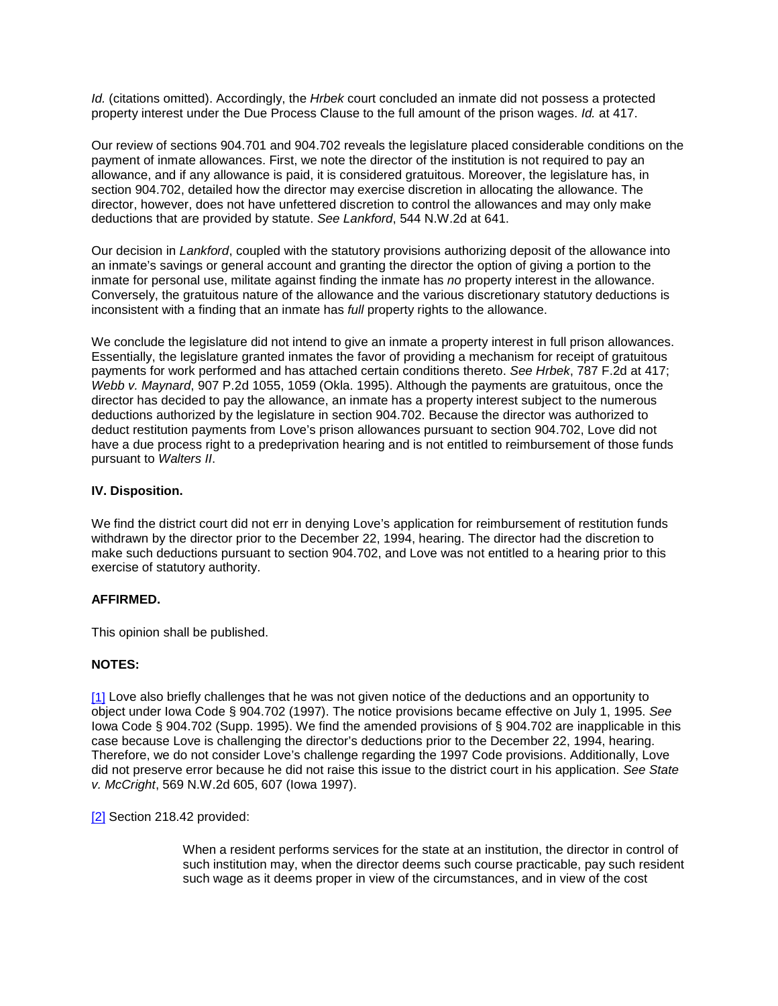*Id.* (citations omitted). Accordingly, the *Hrbek* court concluded an inmate did not possess a protected property interest under the Due Process Clause to the full amount of the prison wages. *Id.* at 417.

Our review of sections 904.701 and 904.702 reveals the legislature placed considerable conditions on the payment of inmate allowances. First, we note the director of the institution is not required to pay an allowance, and if any allowance is paid, it is considered gratuitous. Moreover, the legislature has, in section 904.702, detailed how the director may exercise discretion in allocating the allowance. The director, however, does not have unfettered discretion to control the allowances and may only make deductions that are provided by statute. *See Lankford*, 544 N.W.2d at 641.

Our decision in *Lankford*, coupled with the statutory provisions authorizing deposit of the allowance into an inmate's savings or general account and granting the director the option of giving a portion to the inmate for personal use, militate against finding the inmate has *no* property interest in the allowance. Conversely, the gratuitous nature of the allowance and the various discretionary statutory deductions is inconsistent with a finding that an inmate has *full* property rights to the allowance.

We conclude the legislature did not intend to give an inmate a property interest in full prison allowances. Essentially, the legislature granted inmates the favor of providing a mechanism for receipt of gratuitous payments for work performed and has attached certain conditions thereto. *See Hrbek*, 787 F.2d at 417; *Webb v. Maynard*, 907 P.2d 1055, 1059 (Okla. 1995). Although the payments are gratuitous, once the director has decided to pay the allowance, an inmate has a property interest subject to the numerous deductions authorized by the legislature in section 904.702. Because the director was authorized to deduct restitution payments from Love's prison allowances pursuant to section 904.702, Love did not have a due process right to a predeprivation hearing and is not entitled to reimbursement of those funds pursuant to *Walters II*.

## **IV. Disposition.**

We find the district court did not err in denying Love's application for reimbursement of restitution funds withdrawn by the director prior to the December 22, 1994, hearing. The director had the discretion to make such deductions pursuant to section 904.702, and Love was not entitled to a hearing prior to this exercise of statutory authority.

#### **AFFIRMED.**

This opinion shall be published.

# **NOTES:**

[\[1\]](http://www.iowacourts.gov/About_the_Courts/Supreme_Court/Supreme_Court_Opinions/Recent_Opinions/19981223/97-1230.asp?Printable=true#f1) Love also briefly challenges that he was not given notice of the deductions and an opportunity to object under Iowa Code § 904.702 (1997). The notice provisions became effective on July 1, 1995. *See* Iowa Code § 904.702 (Supp. 1995). We find the amended provisions of § 904.702 are inapplicable in this case because Love is challenging the director's deductions prior to the December 22, 1994, hearing. Therefore, we do not consider Love's challenge regarding the 1997 Code provisions. Additionally, Love did not preserve error because he did not raise this issue to the district court in his application. *See State v. McCright*, 569 N.W.2d 605, 607 (Iowa 1997).

[\[2\]](http://www.iowacourts.gov/About_the_Courts/Supreme_Court/Supreme_Court_Opinions/Recent_Opinions/19981223/97-1230.asp?Printable=true#f2) Section 218.42 provided:

When a resident performs services for the state at an institution, the director in control of such institution may, when the director deems such course practicable, pay such resident such wage as it deems proper in view of the circumstances, and in view of the cost